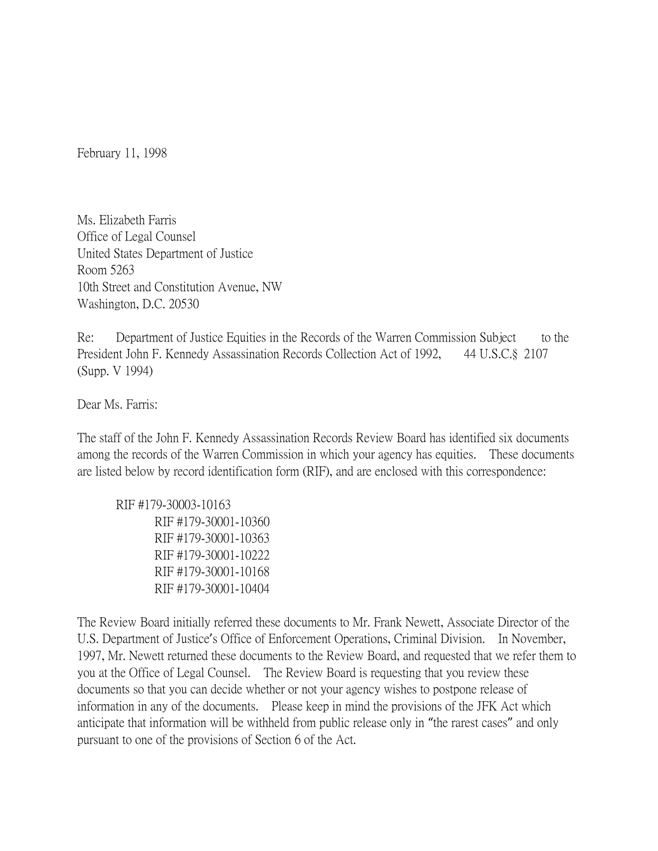February 11, 1998

Ms. Elizabeth Farris Office of Legal Counsel United States Department of Justice Room 5263 10th Street and Constitution Avenue, NW Washington, D.C. 20530

Re: Department of Justice Equities in the Records of the Warren Commission Subject to the President John F. Kennedy Assassination Records Collection Act of 1992, 44 U.S.C.§ 2107 (Supp. V 1994)

Dear Ms. Farris:

The staff of the John F. Kennedy Assassination Records Review Board has identified six documents among the records of the Warren Commission in which your agency has equities. These documents are listed below by record identification form (RIF), and are enclosed with this correspondence:

RIF #179-30003-10163 RIF #179-30001-10360 RIF #179-30001-10363 RIF #179-30001-10222 RIF #179-30001-10168 RIF #179-30001-10404

The Review Board initially referred these documents to Mr. Frank Newett, Associate Director of the U.S. Department of Justice's Office of Enforcement Operations, Criminal Division. In November, 1997, Mr. Newett returned these documents to the Review Board, and requested that we refer them to you at the Office of Legal Counsel. The Review Board is requesting that you review these documents so that you can decide whether or not your agency wishes to postpone release of information in any of the documents. Please keep in mind the provisions of the JFK Act which anticipate that information will be withheld from public release only in "the rarest cases" and only pursuant to one of the provisions of Section 6 of the Act.